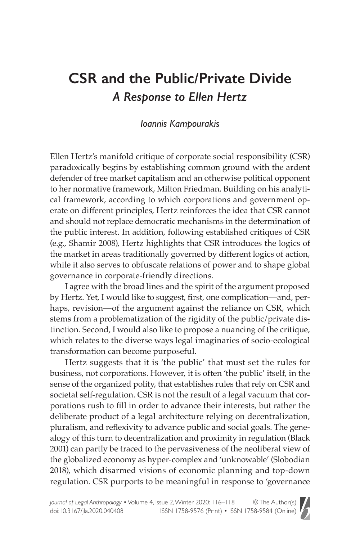## **CSR and the Public/Private Divide** *A Response to Ellen Hertz*

## *Ioannis Kampourakis*

Ellen Hertz's manifold critique of corporate social responsibility (CSR) paradoxically begins by establishing common ground with the ardent defender of free market capitalism and an otherwise political opponent to her normative framework, Milton Friedman. Building on his analytical framework, according to which corporations and government operate on different principles, Hertz reinforces the idea that CSR cannot and should not replace democratic mechanisms in the determination of the public interest. In addition, following established critiques of CSR (e.g., Shamir 2008), Hertz highlights that CSR introduces the logics of the market in areas traditionally governed by different logics of action, while it also serves to obfuscate relations of power and to shape global governance in corporate-friendly directions.

I agree with the broad lines and the spirit of the argument proposed by Hertz. Yet, I would like to suggest, first, one complication—and, perhaps, revision—of the argument against the reliance on CSR, which stems from a problematization of the rigidity of the public/private distinction. Second, I would also like to propose a nuancing of the critique, which relates to the diverse ways legal imaginaries of socio-ecological transformation can become purposeful.

Hertz suggests that it is 'the public' that must set the rules for business, not corporations. However, it is often 'the public' itself, in the sense of the organized polity, that establishes rules that rely on CSR and societal self-regulation. CSR is not the result of a legal vacuum that corporations rush to fill in order to advance their interests, but rather the deliberate product of a legal architecture relying on decentralization, pluralism, and reflexivity to advance public and social goals. The genealogy of this turn to decentralization and proximity in regulation (Black 2001) can partly be traced to the pervasiveness of the neoliberal view of the globalized economy as hyper-complex and 'unknowable' (Slobodian 2018), which disarmed visions of economic planning and top-down regulation. CSR purports to be meaningful in response to 'governance

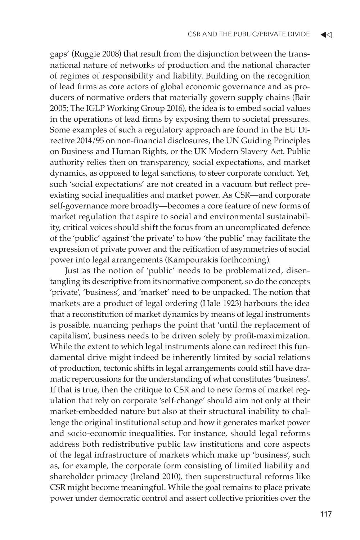gaps' (Ruggie 2008) that result from the disjunction between the transnational nature of networks of production and the national character of regimes of responsibility and liability. Building on the recognition of lead firms as core actors of global economic governance and as producers of normative orders that materially govern supply chains (Bair 2005; The IGLP Working Group 2016), the idea is to embed social values in the operations of lead firms by exposing them to societal pressures. Some examples of such a regulatory approach are found in the EU Directive 2014/95 on non-financial disclosures, the UN Guiding Principles on Business and Human Rights, or the UK Modern Slavery Act. Public authority relies then on transparency, social expectations, and market dynamics, as opposed to legal sanctions, to steer corporate conduct. Yet, such 'social expectations' are not created in a vacuum but reflect preexisting social inequalities and market power. As CSR—and corporate self-governance more broadly—becomes a core feature of new forms of market regulation that aspire to social and environmental sustainability, critical voices should shift the focus from an uncomplicated defence of the 'public' against 'the private' to how 'the public' may facilitate the expression of private power and the reification of asymmetries of social power into legal arrangements (Kampourakis forthcoming).

Just as the notion of 'public' needs to be problematized, disentangling its descriptive from its normative component, so do the concepts 'private', 'business', and 'market' need to be unpacked. The notion that markets are a product of legal ordering (Hale 1923) harbours the idea that a reconstitution of market dynamics by means of legal instruments is possible, nuancing perhaps the point that 'until the replacement of capitalism', business needs to be driven solely by profit-maximization. While the extent to which legal instruments alone can redirect this fundamental drive might indeed be inherently limited by social relations of production, tectonic shifts in legal arrangements could still have dramatic repercussions for the understanding of what constitutes 'business'. If that is true, then the critique to CSR and to new forms of market regulation that rely on corporate 'self-change' should aim not only at their market-embedded nature but also at their structural inability to challenge the original institutional setup and how it generates market power and socio-economic inequalities. For instance, should legal reforms address both redistributive public law institutions and core aspects of the legal infrastructure of markets which make up 'business', such as, for example, the corporate form consisting of limited liability and shareholder primacy (Ireland 2010), then superstructural reforms like CSR might become meaningful. While the goal remains to place private power under democratic control and assert collective priorities over the